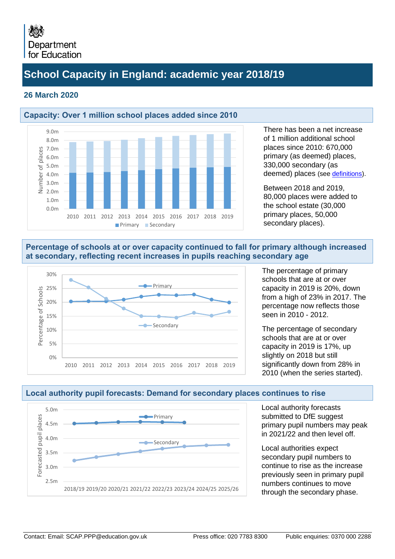## **School Capacity in England: academic year 2018/19**

#### **26 March 2020**

0.0m 1.0m 2.0m 3.0m 4.0m 5.0m

mber ž



2010 2011 2012 2013 2014 2015 2016 2017 2018 2019

**Primary Secondary** 

There has been a net increase of 1 million additional school places since 2010: 670,000 primary (as deemed) places, 330,000 secondary (as deemed) places (see [definitions\)](#page-9-0).

Between 2018 and 2019, 80,000 places were added to the school estate (30,000 primary places, 50,000 secondary places).

#### **Percentage of schools at or over capacity continued to fall for primary although increased at secondary, reflecting recent increases in pupils reaching secondary age**



The percentage of primary schools that are at or over capacity in 2019 is 20%, down from a high of 23% in 2017. The percentage now reflects those seen in 2010 - 2012.

The percentage of secondary schools that are at or over capacity in 2019 is 17%, up slightly on 2018 but still significantly down from 28% in 2010 (when the series started).



### **Local authority pupil forecasts: Demand for secondary places continues to rise**

Local authority forecasts submitted to DfE suggest primary pupil numbers may peak in 2021/22 and then level off.

Local authorities expect secondary pupil numbers to continue to rise as the increase previously seen in primary pupil numbers continues to move through the secondary phase.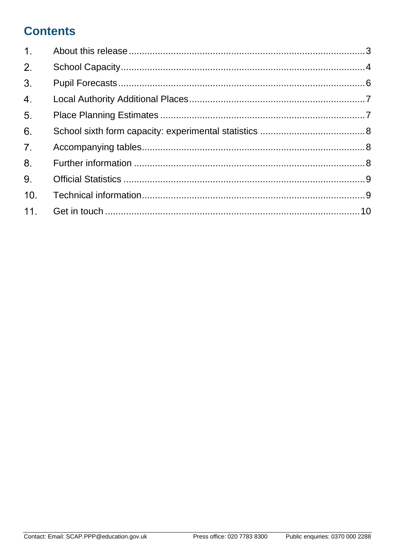# **Contents**

| 1.               |  |
|------------------|--|
| 2 <sup>1</sup>   |  |
| 3 <sup>1</sup>   |  |
| $\overline{4}$ . |  |
| 5.               |  |
| 6.               |  |
| 7 <sup>1</sup>   |  |
| 8.               |  |
| 9.               |  |
| 10.              |  |
| 11.              |  |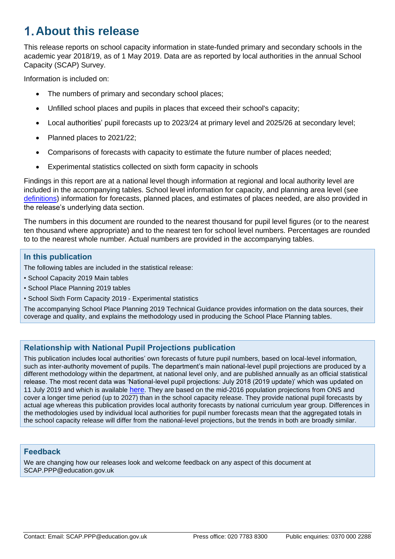# <span id="page-2-0"></span>**About this release**

This release reports on school capacity information in state-funded primary and secondary schools in the academic year 2018/19, as of 1 May 2019. Data are as reported by local authorities in the annual School Capacity (SCAP) Survey.

Information is included on:

- The numbers of primary and secondary school places;
- Unfilled school places and pupils in places that exceed their school's capacity;
- Local authorities' pupil forecasts up to 2023/24 at primary level and 2025/26 at secondary level;
- Planned places to 2021/22;
- Comparisons of forecasts with capacity to estimate the future number of places needed;
- Experimental statistics collected on sixth form capacity in schools

Findings in this report are at a national level though information at regional and local authority level are included in the accompanying tables. School level information for capacity, and planning area level (see [definitions\)](#page-9-0) information for forecasts, planned places, and estimates of places needed, are also provided in the release's underlying data section.

The numbers in this document are rounded to the nearest thousand for pupil level figures (or to the nearest ten thousand where appropriate) and to the nearest ten for school level numbers. Percentages are rounded to to the nearest whole number. Actual numbers are provided in the accompanying tables.

#### **In this publication**

The following tables are included in the statistical release:

- School Capacity 2019 Main tables
- School Place Planning 2019 tables
- School Sixth Form Capacity 2019 Experimental statistics

The accompanying School Place Planning 2019 Technical Guidance provides information on the data sources, their coverage and quality, and explains the methodology used in producing the School Place Planning tables.

#### **Relationship with National Pupil Projections publication**

This publication includes local authorities' own forecasts of future pupil numbers, based on local-level information, such as inter-authority movement of pupils. The department's main national-level pupil projections are produced by a different methodology within the department, at national level only, and are published annually as an official statistical release. The most recent data was 'National-level pupil projections: July 2018 (2019 update)' which was updated on 11 July 2019 and which is available [here](https://www.gov.uk/government/statistics/national-pupil-projections-july-2018). They are based on the mid-2016 population projections from ONS and cover a longer time period (up to 2027) than in the school capacity release. They provide national pupil forecasts by actual age whereas this publication provides local authority forecasts by national curriculum year group. Differences in the methodologies used by individual local authorities for pupil number forecasts mean that the aggregated totals in the school capacity release will differ from the national-level projections, but the trends in both are broadly similar.

#### **Feedback**

We are changing how our releases look and welcome feedback on any aspect of this document at SCAP.PPP@education.gov.uk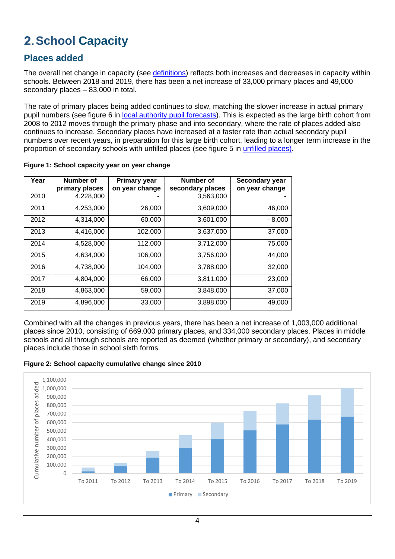# <span id="page-3-0"></span>**2. School Capacity**

### **Places added**

The overall net change in capacity (see *definitions*) reflects both increases and decreases in capacity within schools. Between 2018 and 2019, there has been a net increase of 33,000 primary places and 49,000 secondary places – 83,000 in total.

The rate of primary places being added continues to slow, matching the slower increase in actual primary pupil numbers (see figure 6 in [local authority pupil forecasts\)](#page-5-0). This is expected as the large birth cohort from 2008 to 2012 moves through the primary phase and into secondary, where the rate of places added also continues to increase. Secondary places have increased at a faster rate than actual secondary pupil numbers over recent years, in preparation for this large birth cohort, leading to a longer term increase in the proportion of secondary schools with unfilled places (see figure 5 in [unfilled places\).](#page-4-0)

| Year | Number of      | <b>Primary year</b> | Number of        | Secondary year |
|------|----------------|---------------------|------------------|----------------|
|      | primary places | on year change      | secondary places | on year change |
| 2010 | 4,228,000      |                     | 3,563,000        |                |
| 2011 | 4,253,000      | 26,000              | 3,609,000        | 46,000         |
| 2012 | 4,314,000      | 60,000              | 3,601,000        | $-8,000$       |
| 2013 | 4,416,000      | 102,000             | 3,637,000        | 37,000         |
| 2014 | 4,528,000      | 112,000             | 3,712,000        | 75,000         |
| 2015 | 4.634.000      | 106,000             | 3,756,000        | 44,000         |
| 2016 | 4,738,000      | 104,000             | 3,788,000        | 32,000         |
| 2017 | 4,804,000      | 66,000              | 3,811,000        | 23,000         |
| 2018 | 4,863,000      | 59,000              | 3,848,000        | 37,000         |
| 2019 | 4,896,000      | 33,000              | 3,898,000        | 49,000         |

**Figure 1: School capacity year on year change**

Combined with all the changes in previous years, there has been a net increase of 1,003,000 additional places since 2010, consisting of 669,000 primary places, and 334,000 secondary places. Places in middle schools and all through schools are reported as deemed (whether primary or secondary), and secondary places include those in school sixth forms.



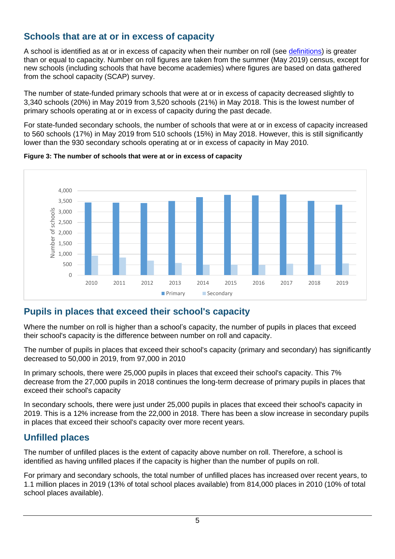### **Schools that are at or in excess of capacity**

A school is identified as at or in excess of capacity when their number on roll (see [definitions\)](#page-9-0) is greater than or equal to capacity. Number on roll figures are taken from the summer (May 2019) census, except for new schools (including schools that have become academies) where figures are based on data gathered from the school capacity (SCAP) survey.

The number of state-funded primary schools that were at or in excess of capacity decreased slightly to 3,340 schools (20%) in May 2019 from 3,520 schools (21%) in May 2018. This is the lowest number of primary schools operating at or in excess of capacity during the past decade.

For state-funded secondary schools, the number of schools that were at or in excess of capacity increased to 560 schools (17%) in May 2019 from 510 schools (15%) in May 2018. However, this is still significantly lower than the 930 secondary schools operating at or in excess of capacity in May 2010.





### **Pupils in places that exceed their school's capacity**

Where the number on roll is higher than a school's capacity, the number of pupils in places that exceed their school's capacity is the difference between number on roll and capacity.

The number of pupils in places that exceed their school's capacity (primary and secondary) has significantly decreased to 50,000 in 2019, from 97,000 in 2010

In primary schools, there were 25,000 pupils in places that exceed their school's capacity. This 7% decrease from the 27,000 pupils in 2018 continues the long-term decrease of primary pupils in places that exceed their school's capacity

In secondary schools, there were just under 25,000 pupils in places that exceed their school's capacity in 2019. This is a 12% increase from the 22,000 in 2018. There has been a slow increase in secondary pupils in places that exceed their school's capacity over more recent years.

### <span id="page-4-0"></span>**Unfilled places**

The number of unfilled places is the extent of capacity above number on roll. Therefore, a school is identified as having unfilled places if the capacity is higher than the number of pupils on roll.

For primary and secondary schools, the total number of unfilled places has increased over recent years, to 1.1 million places in 2019 (13% of total school places available) from 814,000 places in 2010 (10% of total school places available).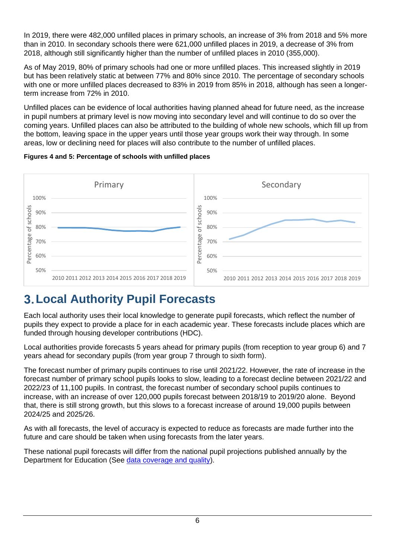In 2019, there were 482,000 unfilled places in primary schools, an increase of 3% from 2018 and 5% more than in 2010. In secondary schools there were 621,000 unfilled places in 2019, a decrease of 3% from 2018, although still significantly higher than the number of unfilled places in 2010 (355,000).

As of May 2019, 80% of primary schools had one or more unfilled places. This increased slightly in 2019 but has been relatively static at between 77% and 80% since 2010. The percentage of secondary schools with one or more unfilled places decreased to 83% in 2019 from 85% in 2018, although has seen a longerterm increase from 72% in 2010.

Unfilled places can be evidence of local authorities having planned ahead for future need, as the increase in pupil numbers at primary level is now moving into secondary level and will continue to do so over the coming years. Unfilled places can also be attributed to the building of whole new schools, which fill up from the bottom, leaving space in the upper years until those year groups work their way through. In some areas, low or declining need for places will also contribute to the number of unfilled places.





# <span id="page-5-0"></span>**Local Authority Pupil Forecasts**

Each local authority uses their local knowledge to generate pupil forecasts, which reflect the number of pupils they expect to provide a place for in each academic year. These forecasts include places which are funded through housing developer contributions (HDC).

Local authorities provide forecasts 5 years ahead for primary pupils (from reception to year group 6) and 7 years ahead for secondary pupils (from year group 7 through to sixth form).

The forecast number of primary pupils continues to rise until 2021/22. However, the rate of increase in the forecast number of primary school pupils looks to slow, leading to a forecast decline between 2021/22 and 2022/23 of 11,100 pupils. In contrast, the forecast number of secondary school pupils continues to increase, with an increase of over 120,000 pupils forecast between 2018/19 to 2019/20 alone. Beyond that, there is still strong growth, but this slows to a forecast increase of around 19,000 pupils between 2024/25 and 2025/26.

As with all forecasts, the level of accuracy is expected to reduce as forecasts are made further into the future and care should be taken when using forecasts from the later years.

These national pupil forecasts will differ from the national pupil projections published annually by the Department for Education (See [data coverage and quality\)](#page-8-2).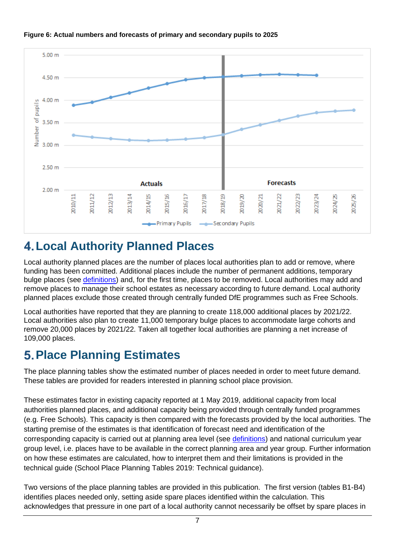

#### **Figure 6: Actual numbers and forecasts of primary and secondary pupils to 2025**

## <span id="page-6-0"></span>**Local Authority Planned Places**

Local authority planned places are the number of places local authorities plan to add or remove, where funding has been committed. Additional places include the number of permanent additions, temporary bulge places (see [definitions\)](#page-9-0) and, for the first time, places to be removed. Local authorities may add and remove places to manage their school estates as necessary according to future demand. Local authority planned places exclude those created through centrally funded DfE programmes such as Free Schools.

Local authorities have reported that they are planning to create 118,000 additional places by 2021/22. Local authorities also plan to create 11,000 temporary bulge places to accommodate large cohorts and remove 20,000 places by 2021/22. Taken all together local authorities are planning a net increase of 109,000 places.

## <span id="page-6-1"></span>**Place Planning Estimates**

The place planning tables show the estimated number of places needed in order to meet future demand. These tables are provided for readers interested in planning school place provision.

These estimates factor in existing capacity reported at 1 May 2019, additional capacity from local authorities planned places, and additional capacity being provided through centrally funded programmes (e.g. Free Schools). This capacity is then compared with the forecasts provided by the local authorities. The starting premise of the estimates is that identification of forecast need and identification of the corresponding capacity is carried out at planning area level (see [definitions\)](#page-9-0) and national curriculum year group level, i.e. places have to be available in the correct planning area and year group. Further information on how these estimates are calculated, how to interpret them and their limitations is provided in the technical guide (School Place Planning Tables 2019: Technical guidance).

Two versions of the place planning tables are provided in this publication. The first version (tables B1-B4) identifies places needed only, setting aside spare places identified within the calculation. This acknowledges that pressure in one part of a local authority cannot necessarily be offset by spare places in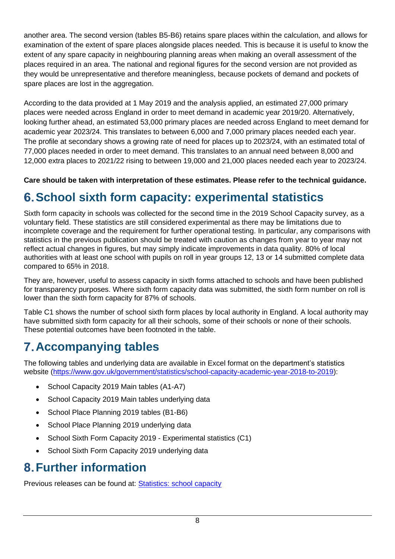another area. The second version (tables B5-B6) retains spare places within the calculation, and allows for examination of the extent of spare places alongside places needed. This is because it is useful to know the extent of any spare capacity in neighbouring planning areas when making an overall assessment of the places required in an area. The national and regional figures for the second version are not provided as they would be unrepresentative and therefore meaningless, because pockets of demand and pockets of spare places are lost in the aggregation.

According to the data provided at 1 May 2019 and the analysis applied, an estimated 27,000 primary places were needed across England in order to meet demand in academic year 2019/20. Alternatively, looking further ahead, an estimated 53,000 primary places are needed across England to meet demand for academic year 2023/24. This translates to between 6,000 and 7,000 primary places needed each year. The profile at secondary shows a growing rate of need for places up to 2023/24, with an estimated total of 77,000 places needed in order to meet demand. This translates to an annual need between 8,000 and 12,000 extra places to 2021/22 rising to between 19,000 and 21,000 places needed each year to 2023/24.

### **Care should be taken with interpretation of these estimates. Please refer to the technical guidance.**

## <span id="page-7-0"></span>**School sixth form capacity: experimental statistics**

Sixth form capacity in schools was collected for the second time in the 2019 School Capacity survey, as a voluntary field. These statistics are still considered experimental as there may be limitations due to incomplete coverage and the requirement for further operational testing. In particular, any comparisons with statistics in the previous publication should be treated with caution as changes from year to year may not reflect actual changes in figures, but may simply indicate improvements in data quality. 80% of local authorities with at least one school with pupils on roll in year groups 12, 13 or 14 submitted complete data compared to 65% in 2018.

They are, however, useful to assess capacity in sixth forms attached to schools and have been published for transparency purposes. Where sixth form capacity data was submitted, the sixth form number on roll is lower than the sixth form capacity for 87% of schools.

Table C1 shows the number of school sixth form places by local authority in England. A local authority may have submitted sixth form capacity for all their schools, some of their schools or none of their schools. These potential outcomes have been footnoted in the table.

# <span id="page-7-1"></span>**Accompanying tables**

The following tables and underlying data are available in Excel format on the department's statistics website (https://www.gov.uk/government/statistics/school-capacity-academic-year-2018-to-2019):

- School Capacity 2019 Main tables (A1-A7)
- School Capacity 2019 Main tables underlying data
- School Place Planning 2019 tables (B1-B6)
- School Place Planning 2019 underlying data
- School Sixth Form Capacity 2019 Experimental statistics (C1)
- School Sixth Form Capacity 2019 underlying data

## <span id="page-7-2"></span>**Further information**

Previous releases can be found at: [Statistics: school capacity](https://educationgovuk.sharepoint.com/sites/efappp/WorkplaceDocuments/Forms/AllItems.aspx?RootFolder=%2Fsites%2Fefappp%2FWorkplaceDocuments%2FAnalysis%2F2017%2FSCAP%202017%20published%20tables%2FFinal%20tables%20and%20commentary%2FSCAP&FolderCTID=0x012000BA1DE056883ECE4D99DD17BECD47AFB1&View=%7B243D0F23%2DF595%2D4D6F%2DBEE5%2D747C63B699FA%7D)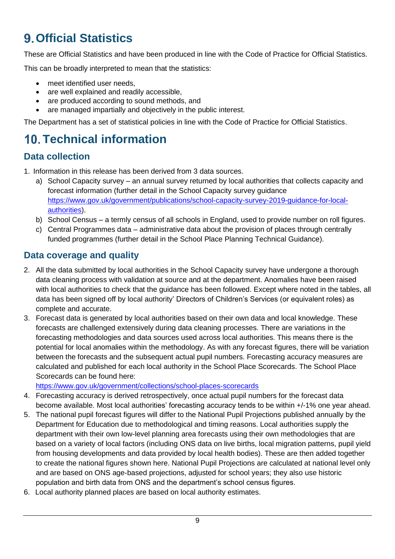# <span id="page-8-0"></span>**Official Statistics**

These are Official Statistics and have been produced in line with the Code of Practice for Official Statistics.

This can be broadly interpreted to mean that the statistics:

- meet identified user needs,
- are well explained and readily accessible,
- are produced according to sound methods, and
- are managed impartially and objectively in the public interest.

The Department has a set of statistical policies in line with the Code of Practice for Official Statistics.

# <span id="page-8-1"></span>**Technical information**

### **Data collection**

1. Information in this release has been derived from 3 data sources.

- a) School Capacity survey an annual survey returned by local authorities that collects capacity and forecast information (further detail in the School Capacity survey guidance [https://www.gov.uk/government/publications/school-capacity-survey-2019-guidance-for-local](https://www.gov.uk/government/publications/school-capacity-survey-2019-guidance-for-local-authorities)[authorities\)](https://www.gov.uk/government/publications/school-capacity-survey-2019-guidance-for-local-authorities).
- b) School Census a termly census of all schools in England, used to provide number on roll figures.
- c) Central Programmes data administrative data about the provision of places through centrally funded programmes (further detail in the School Place Planning Technical Guidance).

### <span id="page-8-2"></span>**Data coverage and quality**

- 2. All the data submitted by local authorities in the School Capacity survey have undergone a thorough data cleaning process with validation at source and at the department. Anomalies have been raised with local authorities to check that the guidance has been followed. Except where noted in the tables, all data has been signed off by local authority' Directors of Children's Services (or equivalent roles) as complete and accurate.
- 3. Forecast data is generated by local authorities based on their own data and local knowledge. These forecasts are challenged extensively during data cleaning processes. There are variations in the forecasting methodologies and data sources used across local authorities. This means there is the potential for local anomalies within the methodology. As with any forecast figures, there will be variation between the forecasts and the subsequent actual pupil numbers. Forecasting accuracy measures are calculated and published for each local authority in the School Place Scorecards. The School Place Scorecards can be found here:

<https://www.gov.uk/government/collections/school-places-scorecards>

- 4. Forecasting accuracy is derived retrospectively, once actual pupil numbers for the forecast data become available. Most local authorities' forecasting accuracy tends to be within +/-1% one year ahead.
- 5. The national pupil forecast figures will differ to the National Pupil Projections published annually by the Department for Education due to methodological and timing reasons. Local authorities supply the department with their own low-level planning area forecasts using their own methodologies that are based on a variety of local factors (including ONS data on live births, local migration patterns, pupil yield from housing developments and data provided by local health bodies). These are then added together to create the national figures shown here. National Pupil Projections are calculated at national level only and are based on ONS age-based projections, adjusted for school years; they also use historic population and birth data from ONS and the department's school census figures.
- 6. Local authority planned places are based on local authority estimates.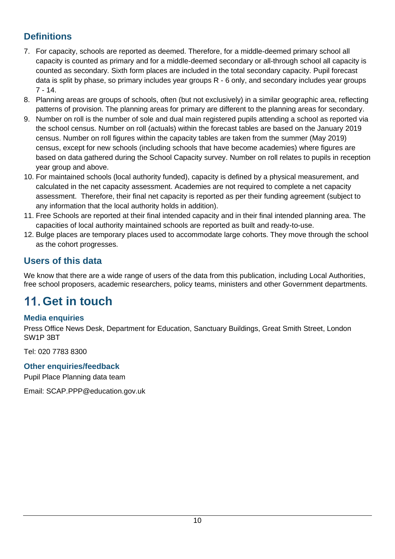## <span id="page-9-0"></span>**Definitions**

- 7. For capacity, schools are reported as deemed. Therefore, for a middle-deemed primary school all capacity is counted as primary and for a middle-deemed secondary or all-through school all capacity is counted as secondary. Sixth form places are included in the total secondary capacity. Pupil forecast data is split by phase, so primary includes year groups R - 6 only, and secondary includes year groups 7 - 14.
- 8. Planning areas are groups of schools, often (but not exclusively) in a similar geographic area, reflecting patterns of provision. The planning areas for primary are different to the planning areas for secondary.
- 9. Number on roll is the number of sole and dual main registered pupils attending a school as reported via the school census. Number on roll (actuals) within the forecast tables are based on the January 2019 census. Number on roll figures within the capacity tables are taken from the summer (May 2019) census, except for new schools (including schools that have become academies) where figures are based on data gathered during the School Capacity survey. Number on roll relates to pupils in reception year group and above.
- 10. For maintained schools (local authority funded), capacity is defined by a physical measurement, and calculated in the net capacity assessment. Academies are not required to complete a net capacity assessment. Therefore, their final net capacity is reported as per their funding agreement (subject to any information that the local authority holds in addition).
- 11. Free Schools are reported at their final intended capacity and in their final intended planning area. The capacities of local authority maintained schools are reported as built and ready-to-use.
- 12. Bulge places are temporary places used to accommodate large cohorts. They move through the school as the cohort progresses.

## **Users of this data**

We know that there are a wide range of users of the data from this publication, including Local Authorities, free school proposers, academic researchers, policy teams, ministers and other Government departments.

# <span id="page-9-1"></span>**Get in touch**

### **Media enquiries**

Press Office News Desk, Department for Education, Sanctuary Buildings, Great Smith Street, London SW1P 3BT

Tel: 020 7783 8300

### **Other enquiries/feedback**

Pupil Place Planning data team

Email: SCAP.PPP@education.gov.uk